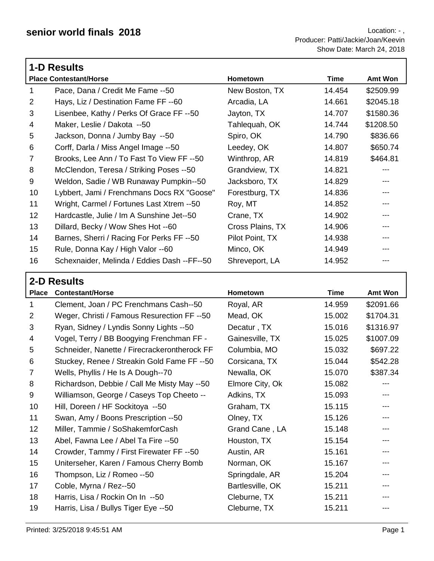|                | <b>1-D Results</b>                          |                  |        |                |  |
|----------------|---------------------------------------------|------------------|--------|----------------|--|
|                | <b>Place Contestant/Horse</b>               | Hometown         | Time   | <b>Amt Won</b> |  |
| 1              | Pace, Dana / Credit Me Fame --50            | New Boston, TX   | 14.454 | \$2509.99      |  |
| 2              | Hays, Liz / Destination Fame FF --60        | Arcadia, LA      | 14.661 | \$2045.18      |  |
| 3              | Lisenbee, Kathy / Perks Of Grace FF --50    | Jayton, TX       | 14.707 | \$1580.36      |  |
| 4              | Maker, Leslie / Dakota --50                 | Tahlequah, OK    | 14.744 | \$1208.50      |  |
| 5              | Jackson, Donna / Jumby Bay --50             | Spiro, OK        | 14.790 | \$836.66       |  |
| 6              | Corff, Darla / Miss Angel Image -- 50       | Leedey, OK       | 14.807 | \$650.74       |  |
| $\overline{7}$ | Brooks, Lee Ann / To Fast To View FF --50   | Winthrop, AR     | 14.819 | \$464.81       |  |
| 8              | McClendon, Teresa / Striking Poses --50     | Grandview, TX    | 14.821 | ---            |  |
| 9              | Weldon, Sadie / WB Runaway Pumpkin--50      | Jacksboro, TX    | 14.829 |                |  |
| 10             | Lybbert, Jami / Frenchmans Docs RX "Goose"  | Forestburg, TX   | 14.836 | ---            |  |
| 11             | Wright, Carmel / Fortunes Last Xtrem --50   | Roy, MT          | 14.852 | ---            |  |
| 12             | Hardcastle, Julie / Im A Sunshine Jet--50   | Crane, TX        | 14.902 | ---            |  |
| 13             | Dillard, Becky / Wow Shes Hot --60          | Cross Plains, TX | 14.906 | ---            |  |
| 14             | Barnes, Sherri / Racing For Perks FF --50   | Pilot Point, TX  | 14.938 | ---            |  |
| 15             | Rule, Donna Kay / High Valor --60           | Minco, OK        | 14.949 |                |  |
| 16             | Schexnaider, Melinda / Eddies Dash --FF--50 | Shreveport, LA   | 14.952 |                |  |

|                | 2-D Results                                  |                  |             |           |  |
|----------------|----------------------------------------------|------------------|-------------|-----------|--|
| <b>Place</b>   | <b>Contestant/Horse</b>                      | Hometown         | <b>Time</b> | Amt Won   |  |
| 1              | Clement, Joan / PC Frenchmans Cash--50       | Royal, AR        | 14.959      | \$2091.66 |  |
| $\overline{2}$ | Weger, Christi / Famous Resurection FF --50  | Mead, OK         | 15.002      | \$1704.31 |  |
| 3              | Ryan, Sidney / Lyndis Sonny Lights --50      | Decatur, TX      | 15.016      | \$1316.97 |  |
| 4              | Vogel, Terry / BB Boogying Frenchman FF -    | Gainesville, TX  | 15.025      | \$1007.09 |  |
| 5              | Schneider, Nanette / Firecrackerontherock FF | Columbia, MO     | 15.032      | \$697.22  |  |
| 6              | Stuckey, Renee / Streakin Gold Fame FF --50  | Corsicana, TX    | 15.044      | \$542.28  |  |
| 7              | Wells, Phyllis / He Is A Dough--70           | Newalla, OK      | 15.070      | \$387.34  |  |
| 8              | Richardson, Debbie / Call Me Misty May --50  | Elmore City, Ok  | 15.082      |           |  |
| 9              | Williamson, George / Caseys Top Cheeto --    | Adkins, TX       | 15.093      |           |  |
| 10             | Hill, Doreen / HF Sockitoya --50             | Graham, TX       | 15.115      | ---       |  |
| 11             | Swan, Amy / Boons Prescription --50          | Olney, TX        | 15.126      |           |  |
| 12             | Miller, Tammie / SoShakemforCash             | Grand Cane, LA   | 15.148      |           |  |
| 13             | Abel, Fawna Lee / Abel Ta Fire --50          | Houston, TX      | 15.154      | ---       |  |
| 14             | Crowder, Tammy / First Firewater FF --50     | Austin, AR       | 15.161      | ---       |  |
| 15             | Uniterseher, Karen / Famous Cherry Bomb      | Norman, OK       | 15.167      |           |  |
| 16             | Thompson, Liz / Romeo --50                   | Springdale, AR   | 15.204      | ---       |  |
| 17             | Coble, Myrna / Rez--50                       | Bartlesville, OK | 15.211      | ---       |  |
| 18             | Harris, Lisa / Rockin On In --50             | Cleburne, TX     | 15.211      |           |  |
| 19             | Harris, Lisa / Bullys Tiger Eye --50         | Cleburne, TX     | 15.211      |           |  |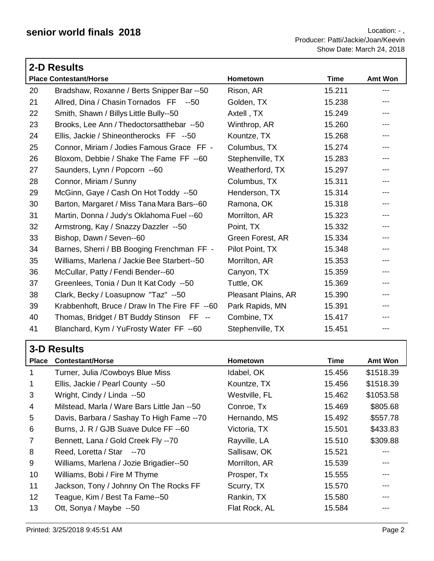|    | 2-D Results                                   |                     |             |                   |
|----|-----------------------------------------------|---------------------|-------------|-------------------|
|    | <b>Place Contestant/Horse</b>                 | Hometown            | <b>Time</b> | <b>Amt Won</b>    |
| 20 | Bradshaw, Roxanne / Berts Snipper Bar --50    | Rison, AR           | 15.211      | $\qquad \qquad -$ |
| 21 | Allred, Dina / Chasin Tornados FF --50        | Golden, TX          | 15.238      | $---$             |
| 22 | Smith, Shawn / Billys Little Bully--50        | Axtell, TX          | 15.249      | ---               |
| 23 | Brooks, Lee Ann / Thedoctorsatthebar --50     | Winthrop, AR        | 15.260      | $\qquad \qquad -$ |
| 24 | Ellis, Jackie / Shineontherocks FF --50       | Kountze, TX         | 15.268      | $---$             |
| 25 | Connor, Miriam / Jodies Famous Grace FF -     | Columbus, TX        | 15.274      | $\qquad \qquad -$ |
| 26 | Bloxom, Debbie / Shake The Fame FF --60       | Stephenville, TX    | 15.283      | $\qquad \qquad -$ |
| 27 | Saunders, Lynn / Popcorn --60                 | Weatherford, TX     | 15.297      | $---$             |
| 28 | Connor, Miriam / Sunny                        | Columbus, TX        | 15.311      | $---$             |
| 29 | McGinn, Gaye / Cash On Hot Toddy --50         | Henderson, TX       | 15.314      | $\qquad \qquad -$ |
| 30 | Barton, Margaret / Miss Tana Mara Bars--60    | Ramona, OK          | 15.318      | $---$             |
| 31 | Martin, Donna / Judy's Oklahoma Fuel --60     | Morrilton, AR       | 15.323      | ---               |
| 32 | Armstrong, Kay / Snazzy Dazzler --50          | Point, TX           | 15.332      | $\qquad \qquad -$ |
| 33 | Bishop, Dawn / Seven--60                      | Green Forest, AR    | 15.334      | $---$             |
| 34 | Barnes, Sherri / BB Booging Frenchman FF -    | Pilot Point, TX     | 15.348      | $\qquad \qquad -$ |
| 35 | Williams, Marlena / Jackie Bee Starbert--50   | Morrilton, AR       | 15.353      | $\qquad \qquad -$ |
| 36 | McCullar, Patty / Fendi Bender--60            | Canyon, TX          | 15.359      | $\qquad \qquad -$ |
| 37 | Greenlees, Tonia / Dun It Kat Cody --50       | Tuttle, OK          | 15.369      | $\qquad \qquad -$ |
| 38 | Clark, Becky / Loasupnow "Taz" --50           | Pleasant Plains, AR | 15.390      | ---               |
| 39 | Krabbenhoft, Bruce / Draw In The Fire FF --60 | Park Rapids, MN     | 15.391      |                   |
| 40 | Thomas, Bridget / BT Buddy Stinson FF --      | Combine, TX         | 15.417      |                   |
| 41 | Blanchard, Kym / YuFrosty Water FF --60       | Stephenville, TX    | 15.451      | $\qquad \qquad -$ |

|                | <b>3-D Results</b>                          |                 |        |           |  |
|----------------|---------------------------------------------|-----------------|--------|-----------|--|
| <b>Place</b>   | <b>Contestant/Horse</b>                     | <b>Hometown</b> | Time   | Amt Won   |  |
| 1              | Turner, Julia /Cowboys Blue Miss            | Idabel, OK      | 15.456 | \$1518.39 |  |
| 1              | Ellis, Jackie / Pearl County --50           | Kountze, TX     | 15.456 | \$1518.39 |  |
| 3              | Wright, Cindy / Linda --50                  | Westville, FL   | 15.462 | \$1053.58 |  |
| 4              | Milstead, Marla / Ware Bars Little Jan --50 | Conroe, Tx      | 15.469 | \$805.68  |  |
| 5              | Davis, Barbara / Sashay To High Fame --70   | Hernando, MS    | 15.492 | \$557.78  |  |
| 6              | Burns, J. R / GJB Suave Dulce FF --60       | Victoria, TX    | 15.501 | \$433.83  |  |
| $\overline{7}$ | Bennett, Lana / Gold Creek Fly --70         | Rayville, LA    | 15.510 | \$309.88  |  |
| 8              | Reed, Loretta / Star --70                   | Sallisaw, OK    | 15.521 |           |  |
| 9              | Williams, Marlena / Jozie Brigadier--50     | Morrilton, AR   | 15.539 | ---       |  |
| 10             | Williams, Bobi / Fire M Thyme               | Prosper, Tx     | 15.555 | ---       |  |
| 11             | Jackson, Tony / Johnny On The Rocks FF      | Scurry, TX      | 15.570 | ---       |  |
| 12             | Teague, Kim / Best Ta Fame--50              | Rankin, TX      | 15.580 |           |  |
| 13             | Ott, Sonya / Maybe --50                     | Flat Rock, AL   | 15.584 |           |  |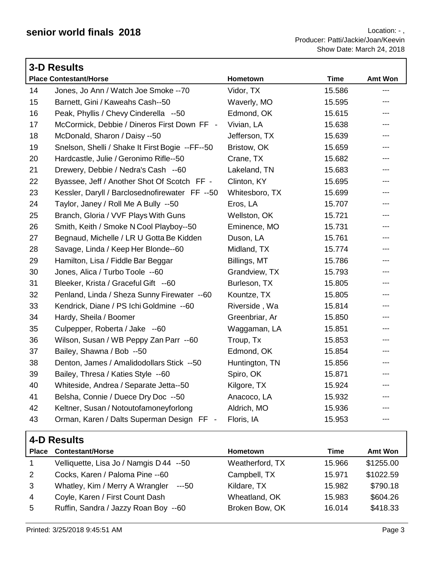|    | <b>3-D Results</b>                              |                |             |                          |  |  |
|----|-------------------------------------------------|----------------|-------------|--------------------------|--|--|
|    | <b>Place Contestant/Horse</b>                   | Hometown       | <b>Time</b> | Amt Won                  |  |  |
| 14 | Jones, Jo Ann / Watch Joe Smoke -- 70           | Vidor, TX      | 15.586      | $\overline{\phantom{a}}$ |  |  |
| 15 | Barnett, Gini / Kaweahs Cash--50                | Waverly, MO    | 15.595      | ---                      |  |  |
| 16 | Peak, Phyllis / Chevy Cinderella --50           | Edmond, OK     | 15.615      | ---                      |  |  |
| 17 | McCormick, Debbie / Dineros First Down FF -     | Vivian, LA     | 15.638      | ---                      |  |  |
| 18 | McDonald, Sharon / Daisy --50                   | Jefferson, TX  | 15.639      | ---                      |  |  |
| 19 | Snelson, Shelli / Shake It First Bogie --FF--50 | Bristow, OK    | 15.659      | ---                      |  |  |
| 20 | Hardcastle, Julie / Geronimo Rifle--50          | Crane, TX      | 15.682      | ---                      |  |  |
| 21 | Drewery, Debbie / Nedra's Cash --60             | Lakeland, TN   | 15.683      | ---                      |  |  |
| 22 | Byassee, Jeff / Another Shot Of Scotch FF -     | Clinton, KY    | 15.695      | ---                      |  |  |
| 23 | Kessler, Daryll / Barclosednofirewater FF --50  | Whitesboro, TX | 15.699      | ---                      |  |  |
| 24 | Taylor, Janey / Roll Me A Bully --50            | Eros, LA       | 15.707      | $--$                     |  |  |
| 25 | Branch, Gloria / VVF Plays With Guns            | Wellston, OK   | 15.721      | ---                      |  |  |
| 26 | Smith, Keith / Smoke N Cool Playboy--50         | Eminence, MO   | 15.731      | ---                      |  |  |
| 27 | Begnaud, Michelle / LR U Gotta Be Kidden        | Duson, LA      | 15.761      | ---                      |  |  |
| 28 | Savage, Linda / Keep Her Blonde--60             | Midland, TX    | 15.774      | ---                      |  |  |
| 29 | Hamilton, Lisa / Fiddle Bar Beggar              | Billings, MT   | 15.786      | ---                      |  |  |
| 30 | Jones, Alica / Turbo Toole --60                 | Grandview, TX  | 15.793      | ---                      |  |  |
| 31 | Bleeker, Krista / Graceful Gift --60            | Burleson, TX   | 15.805      | $\qquad \qquad - -$      |  |  |
| 32 | Penland, Linda / Sheza Sunny Firewater --60     | Kountze, TX    | 15.805      | ---                      |  |  |
| 33 | Kendrick, Diane / PS Ichi Goldmine --60         | Riverside, Wa  | 15.814      | $\overline{a}$           |  |  |
| 34 | Hardy, Sheila / Boomer                          | Greenbriar, Ar | 15.850      | $---$                    |  |  |
| 35 | Culpepper, Roberta / Jake --60                  | Waggaman, LA   | 15.851      | ---                      |  |  |
| 36 | Wilson, Susan / WB Peppy Zan Parr --60          | Troup, Tx      | 15.853      | ---                      |  |  |
| 37 | Bailey, Shawna / Bob --50                       | Edmond, OK     | 15.854      | ---                      |  |  |
| 38 | Denton, James / Amalidodollars Stick --50       | Huntington, TN | 15.856      | ---                      |  |  |
| 39 | Bailey, Thresa / Katies Style --60              | Spiro, OK      | 15.871      | ---                      |  |  |
| 40 | Whiteside, Andrea / Separate Jetta--50          | Kilgore, TX    | 15.924      | $\cdots$                 |  |  |
| 41 | Belsha, Connie / Duece Dry Doc --50             | Anacoco, LA    | 15.932      | $\qquad \qquad - -$      |  |  |
| 42 | Keltner, Susan / Notoutofamoneyforlong          | Aldrich, MO    | 15.936      | ---                      |  |  |
| 43 | Orman, Karen / Dalts Superman Design FF -       | Floris, IA     | 15.953      | ---                      |  |  |

|              | 4-D Results                              |                 |        |           |  |
|--------------|------------------------------------------|-----------------|--------|-----------|--|
| <b>Place</b> | <b>Contestant/Horse</b>                  | <b>Hometown</b> | Time   | Amt Won   |  |
|              | Velliquette, Lisa Jo / Namgis D 44 --50  | Weatherford, TX | 15.966 | \$1255.00 |  |
| 2            | Cocks, Karen / Paloma Pine -- 60         | Campbell, TX    | 15.971 | \$1022.59 |  |
| 3            | Whatley, Kim / Merry A Wrangler<br>---50 | Kildare, TX     | 15.982 | \$790.18  |  |
| 4            | Coyle, Karen / First Count Dash          | Wheatland, OK   | 15.983 | \$604.26  |  |
| 5            | Ruffin, Sandra / Jazzy Roan Boy --60     | Broken Bow, OK  | 16.014 | \$418.33  |  |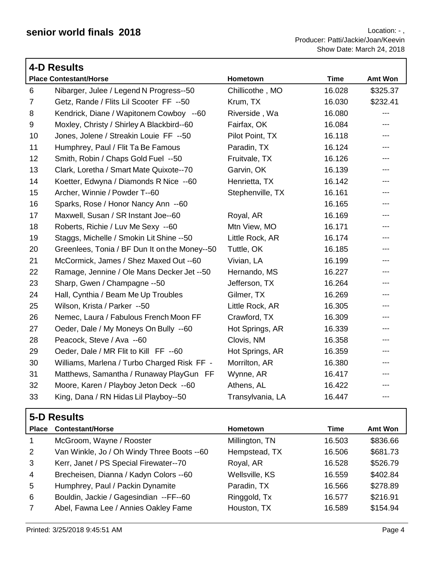|                | <b>4-D Results</b>                            |                  |             |                |
|----------------|-----------------------------------------------|------------------|-------------|----------------|
|                | <b>Place Contestant/Horse</b>                 | Hometown         | <b>Time</b> | <b>Amt Won</b> |
| 6              | Nibarger, Julee / Legend N Progress--50       | Chillicothe, MO  | 16.028      | \$325.37       |
| $\overline{7}$ | Getz, Rande / Flits Lil Scooter FF --50       | Krum, TX         | 16.030      | \$232.41       |
| 8              | Kendrick, Diane / Wapitonem Cowboy --60       | Riverside, Wa    | 16.080      | $---$          |
| 9              | Moxley, Christy / Shirley A Blackbird--60     | Fairfax, OK      | 16.084      | ---            |
| 10             | Jones, Jolene / Streakin Louie FF --50        | Pilot Point, TX  | 16.118      | ---            |
| 11             | Humphrey, Paul / Flit Ta Be Famous            | Paradin, TX      | 16.124      | ---            |
| 12             | Smith, Robin / Chaps Gold Fuel --50           | Fruitvale, TX    | 16.126      | $---$          |
| 13             | Clark, Loretha / Smart Mate Quixote--70       | Garvin, OK       | 16.139      | $---$          |
| 14             | Koetter, Edwyna / Diamonds R Nice --60        | Henrietta, TX    | 16.142      | ---            |
| 15             | Archer, Winnie / Powder T--60                 | Stephenville, TX | 16.161      | ---            |
| 16             | Sparks, Rose / Honor Nancy Ann --60           |                  | 16.165      | ---            |
| 17             | Maxwell, Susan / SR Instant Joe--60           | Royal, AR        | 16.169      | ---            |
| 18             | Roberts, Richie / Luv Me Sexy --60            | Mtn View, MO     | 16.171      | $---$          |
| 19             | Staggs, Michelle / Smokin Lit Shine --50      | Little Rock, AR  | 16.174      | ---            |
| 20             | Greenlees, Tonia / BF Dun It on the Money--50 | Tuttle, OK       | 16.185      |                |
| 21             | McCormick, James / Shez Maxed Out --60        | Vivian, LA       | 16.199      | ---            |
| 22             | Ramage, Jennine / Ole Mans Decker Jet --50    | Hernando, MS     | 16.227      | ---            |
| 23             | Sharp, Gwen / Champagne --50                  | Jefferson, TX    | 16.264      | ---            |
| 24             | Hall, Cynthia / Beam Me Up Troubles           | Gilmer, TX       | 16.269      | ---            |
| 25             | Wilson, Krista / Parker --50                  | Little Rock, AR  | 16.305      | ---            |
| 26             | Nemec, Laura / Fabulous French Moon FF        | Crawford, TX     | 16.309      | ---            |
| 27             | Oeder, Dale / My Moneys On Bully --60         | Hot Springs, AR  | 16.339      | ---            |
| 28             | Peacock, Steve / Ava --60                     | Clovis, NM       | 16.358      | ---            |
| 29             | Oeder, Dale / MR Flit to Kill FF --60         | Hot Springs, AR  | 16.359      | ---            |
| 30             | Williams, Marlena / Turbo Charged Risk FF -   | Morrilton, AR    | 16.380      | ---            |
| 31             | Matthews, Samantha / Runaway PlayGun FF       | Wynne, AR        | 16.417      | ---            |
| 32             | Moore, Karen / Playboy Jeton Deck --60        | Athens, AL       | 16.422      | ---            |
| 33             | King, Dana / RN Hidas Lil Playboy--50         | Transylvania, LA | 16.447      | ---            |

|       | 5-D Results                                |                 |        |          |
|-------|--------------------------------------------|-----------------|--------|----------|
| Place | <b>Contestant/Horse</b>                    | <b>Hometown</b> | Time   | Amt Won  |
|       | McGroom, Wayne / Rooster                   | Millington, TN  | 16.503 | \$836.66 |
| 2     | Van Winkle, Jo / Oh Windy Three Boots --60 | Hempstead, TX   | 16.506 | \$681.73 |
| 3     | Kerr, Janet / PS Special Firewater--70     | Royal, AR       | 16.528 | \$526.79 |
| 4     | Brecheisen, Dianna / Kadyn Colors --60     | Wellsville, KS  | 16.559 | \$402.84 |
| 5     | Humphrey, Paul / Packin Dynamite           | Paradin, TX     | 16.566 | \$278.89 |
| 6     | Bouldin, Jackie / Gagesindian --FF--60     | Ringgold, Tx    | 16.577 | \$216.91 |
|       | Abel, Fawna Lee / Annies Oakley Fame       | Houston, TX     | 16.589 | \$154.94 |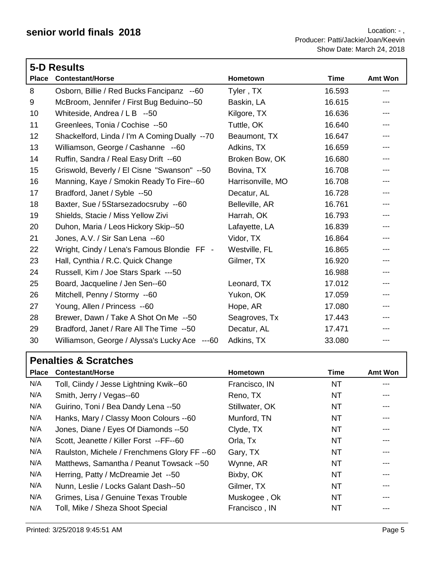|              | 5-D Results                                   |                   |             |         |  |  |
|--------------|-----------------------------------------------|-------------------|-------------|---------|--|--|
| <b>Place</b> | <b>Contestant/Horse</b>                       | Hometown          | <b>Time</b> | Amt Won |  |  |
| 8            | Osborn, Billie / Red Bucks Fancipanz --60     | Tyler, TX         | 16.593      | ---     |  |  |
| 9            | McBroom, Jennifer / First Bug Beduino--50     | Baskin, LA        | 16.615      | ---     |  |  |
| 10           | Whiteside, Andrea / L B --50                  | Kilgore, TX       | 16.636      | ---     |  |  |
| 11           | Greenlees, Tonia / Cochise --50               | Tuttle, OK        | 16.640      |         |  |  |
| 12           | Shackelford, Linda / I'm A Coming Dually --70 | Beaumont, TX      | 16.647      | ---     |  |  |
| 13           | Williamson, George / Cashanne --60            | Adkins, TX        | 16.659      | ---     |  |  |
| 14           | Ruffin, Sandra / Real Easy Drift --60         | Broken Bow, OK    | 16.680      |         |  |  |
| 15           | Griswold, Beverly / El Cisne "Swanson" --50   | Bovina, TX        | 16.708      | ---     |  |  |
| 16           | Manning, Kaye / Smokin Ready To Fire--60      | Harrisonville, MO | 16.708      | ---     |  |  |
| 17           | Bradford, Janet / Syble --50                  | Decatur, AL       | 16.728      | ---     |  |  |
| 18           | Baxter, Sue / 5Starsezadocsruby --60          | Belleville, AR    | 16.761      |         |  |  |
| 19           | Shields, Stacie / Miss Yellow Zivi            | Harrah, OK        | 16.793      |         |  |  |
| 20           | Duhon, Maria / Leos Hickory Skip--50          | Lafayette, LA     | 16.839      | ---     |  |  |
| 21           | Jones, A.V. / Sir San Lena --60               | Vidor, TX         | 16.864      |         |  |  |
| 22           | Wright, Cindy / Lena's Famous Blondie FF -    | Westville, FL     | 16.865      |         |  |  |
| 23           | Hall, Cynthia / R.C. Quick Change             | Gilmer, TX        | 16.920      |         |  |  |
| 24           | Russell, Kim / Joe Stars Spark ---50          |                   | 16.988      | ---     |  |  |
| 25           | Board, Jacqueline / Jen Sen--60               | Leonard, TX       | 17.012      | ---     |  |  |
| 26           | Mitchell, Penny / Stormy --60                 | Yukon, OK         | 17.059      | ---     |  |  |
| 27           | Young, Allen / Princess --60                  | Hope, AR          | 17.080      |         |  |  |
| 28           | Brewer, Dawn / Take A Shot On Me --50         | Seagroves, Tx     | 17.443      | ---     |  |  |
| 29           | Bradford, Janet / Rare All The Time --50      | Decatur, AL       | 17.471      | ---     |  |  |
| 30           | Williamson, George / Alyssa's Lucky Ace ---60 | Adkins, TX        | 33.080      | ---     |  |  |

## **Penalties & Scratches**

| <b>Place</b> | <b>Contestant/Horse</b>                      | Hometown       | Time      | <b>Amt Won</b> |
|--------------|----------------------------------------------|----------------|-----------|----------------|
| N/A          | Toll, Ciindy / Jesse Lightning Kwik--60      | Francisco, IN  | NT        | ---            |
| N/A          | Smith, Jerry / Vegas--60                     | Reno, TX       | NT        |                |
| N/A          | Guirino, Toni / Bea Dandy Lena --50          | Stillwater, OK | <b>NT</b> |                |
| N/A          | Hanks, Mary / Classy Moon Colours --60       | Munford, TN    | ΝT        | ---            |
| N/A          | Jones, Diane / Eyes Of Diamonds --50         | Clyde, TX      | NT        | ---            |
| N/A          | Scott, Jeanette / Killer Forst --FF--60      | Orla, Tx       | <b>NT</b> | ---            |
| N/A          | Raulston, Michele / Frenchmens Glory FF --60 | Gary, TX       | NT        | ---            |
| N/A          | Matthews, Samantha / Peanut Towsack --50     | Wynne, AR      | NT        |                |
| N/A          | Herring, Patty / McDreamie Jet --50          | Bixby, OK      | <b>NT</b> |                |
| N/A          | Nunn, Leslie / Locks Galant Dash--50         | Gilmer, TX     | ΝT        |                |
| N/A          | Grimes, Lisa / Genuine Texas Trouble         | Muskogee, Ok   | ΝT        | ---            |
| N/A          | Toll, Mike / Sheza Shoot Special             | Francisco, IN  | NT        |                |